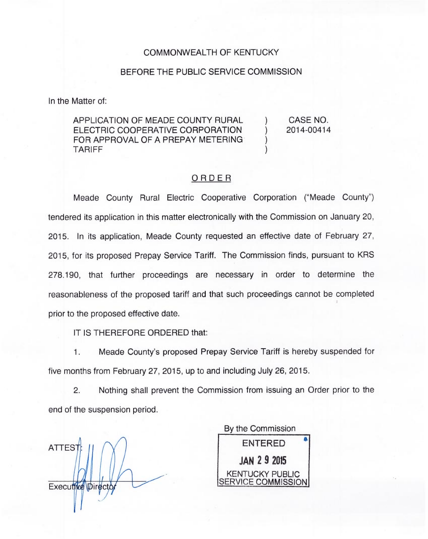## COMMONWEALTH OF KENTUCKY

## BEFORE THE PUBLIC SERVICE COMMISSION

In the Matter of:

APPLICATION OF MEADE COUNTY RURAL ELECTRIC COOPERATIVE CORPORATION FOR APPROVAL OF A PREPAY METERING TARIFF

) CASE NO. ) 2014-00414

) )

## ORDER

Meade County Rural Electric Cooperative Corporation ("Meade County") tendered its application in this matter electronically with the Commission on January 20, 2015. In its application, Meade County requested an effective date of February 27, 2015, for its proposed Prepay Service Tariff. The Commission finds, pursuant to KRS 278.190, that further proceedings are necessary in order to determine the reasonableness of the proposed tariff and that such proceedings cannot be completed prior to the proposed effective date.

IT IS THEREFORE ORDERED that:

1. Meade County's proposed Prepay Service Tariff is hereby suspended for five months from February 27, 2015, up to and including July 26, 2015.

2. Nothing shall prevent the Commission from issuing an Order prior to the end of the suspension period.

ATTES Executive Directo

By the Commission ENTERED JAN 29 2015 KENTUCKY PUBLIC RVICE COMMISSION